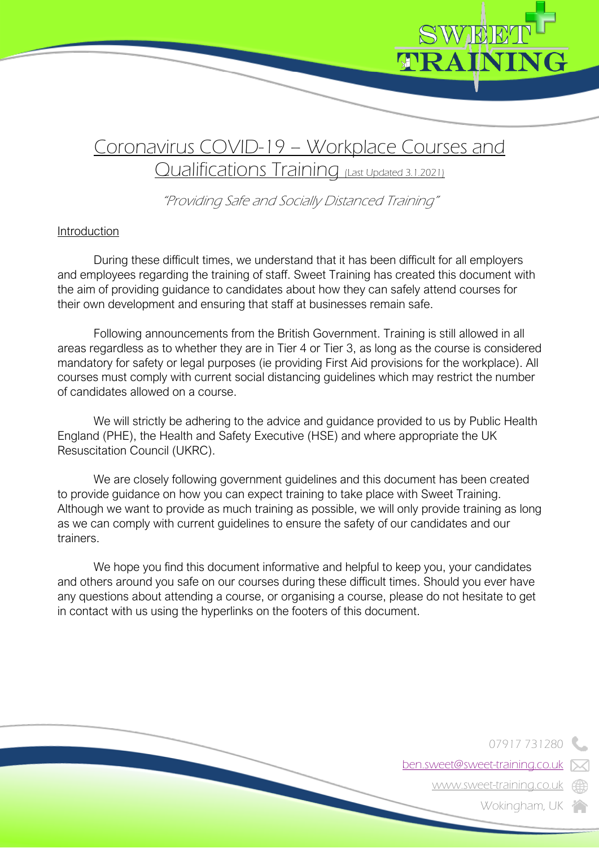

# Coronavirus COVID-19 – Workplace Courses and Qualifications Training (Last Updated 3.1.2021)

"Providing Safe and Socially Distanced Training"

## Introduction

During these difficult times, we understand that it has been difficult for all employers and employees regarding the training of staff. Sweet Training has created this document with the aim of providing guidance to candidates about how they can safely attend courses for their own development and ensuring that staff at businesses remain safe.

Following announcements from the British Government. Training is still allowed in all areas regardless as to whether they are in Tier 4 or Tier 3, as long as the course is considered mandatory for safety or legal purposes (ie providing First Aid provisions for the workplace). All courses must comply with current social distancing guidelines which may restrict the number of candidates allowed on a course.

We will strictly be adhering to the advice and quidance provided to us by Public Health England (PHE), the Health and Safety Executive (HSE) and where appropriate the UK Resuscitation Council (UKRC).

We are closely following government guidelines and this document has been created to provide guidance on how you can expect training to take place with Sweet Training. Although we want to provide as much training as possible, we will only provide training as long as we can comply with current guidelines to ensure the safety of our candidates and our trainers.

We hope you find this document informative and helpful to keep you, your candidates and others around you safe on our courses during these difficult times. Should you ever have any questions about attending a course, or organising a course, please do not hesitate to get in contact with us using the hyperlinks on the footers of this document.

07917 731280

ben.sweet@sweet-training.co.uk

www.sweet-training.co.uk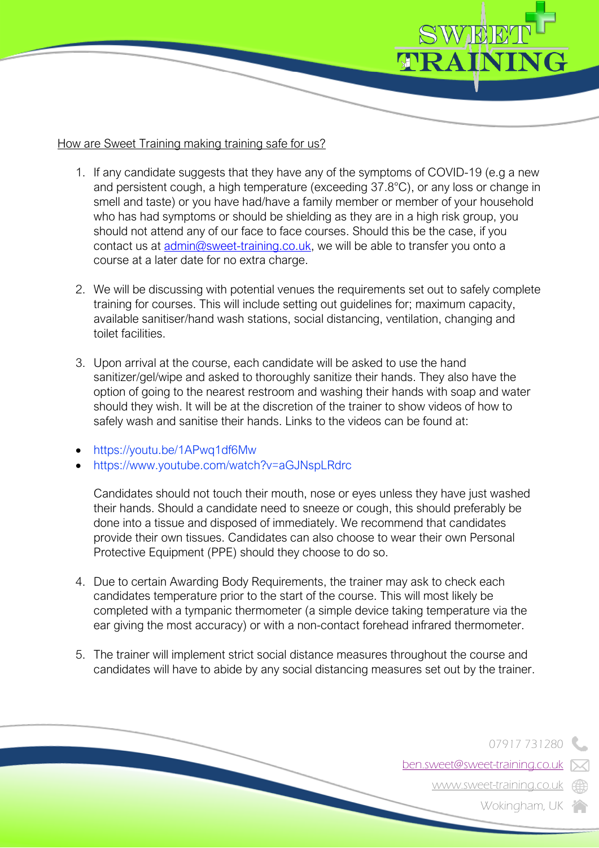

## How are Sweet Training making training safe for us?

- 1. If any candidate suggests that they have any of the symptoms of COVID-19 (e.g a new and persistent cough, a high temperature (exceeding 37.8°C), or any loss or change in smell and taste) or you have had/have a family member or member of your household who has had symptoms or should be shielding as they are in a high risk group, you should not attend any of our face to face courses. Should this be the case, if you contact us at admin@sweet-training.co.uk, we will be able to transfer you onto a course at a later date for no extra charge.
- 2. We will be discussing with potential venues the requirements set out to safely complete training for courses. This will include setting out guidelines for; maximum capacity, available sanitiser/hand wash stations, social distancing, ventilation, changing and toilet facilities.
- 3. Upon arrival at the course, each candidate will be asked to use the hand sanitizer/gel/wipe and asked to thoroughly sanitize their hands. They also have the option of going to the nearest restroom and washing their hands with soap and water should they wish. It will be at the discretion of the trainer to show videos of how to safely wash and sanitise their hands. Links to the videos can be found at:
- https://youtu.be/1APwq1df6Mw
- https://www.youtube.com/watch?v=aGJNspLRdrc

Candidates should not touch their mouth, nose or eyes unless they have just washed their hands. Should a candidate need to sneeze or cough, this should preferably be done into a tissue and disposed of immediately. We recommend that candidates provide their own tissues. Candidates can also choose to wear their own Personal Protective Equipment (PPE) should they choose to do so.

- 4. Due to certain Awarding Body Requirements, the trainer may ask to check each candidates temperature prior to the start of the course. This will most likely be completed with a tympanic thermometer (a simple device taking temperature via the ear giving the most accuracy) or with a non-contact forehead infrared thermometer.
- 5. The trainer will implement strict social distance measures throughout the course and candidates will have to abide by any social distancing measures set out by the trainer.

07917 731280

ben.sweet@sweet-training.co.uk

www.sweet-training.co.uk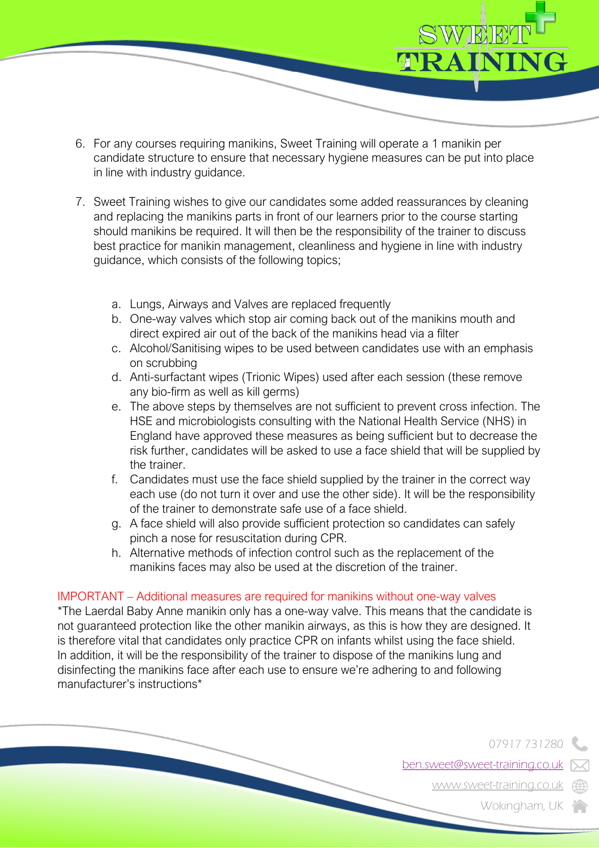- WEET TRAININ
	- 6. For any courses requiring manikins, Sweet Training will operate a 1 manikin per candidate structure to ensure that necessary hygiene measures can be put into place in line with industry guidance.
	- 7. Sweet Training wishes to give our candidates some added reassurances by cleaning and replacing the manikins parts in front of our learners prior to the course starting should manikins be required. It will then be the responsibility of the trainer to discuss best practice for manikin management, cleanliness and hygiene in line with industry guidance, which consists of the following topics;
		- a. Lungs, Airways and Valves are replaced frequently
		- b. One-way valves which stop air coming back out of the manikins mouth and direct expired air out of the back of the manikins head via a filter
		- c. Alcohol/Sanitising wipes to be used between candidates use with an emphasis on scrubbing
		- d. Anti-surfactant wipes (Trionic Wipes) used after each session (these remove any bio-firm as well as kill germs)
		- e. The above steps by themselves are not sufficient to prevent cross infection. The HSE and microbiologists consulting with the National Health Service (NHS) in England have approved these measures as being sufficient but to decrease the risk further, candidates will be asked to use a face shield that will be supplied by the trainer.
		- f. Candidates must use the face shield supplied by the trainer in the correct way each use (do not turn it over and use the other side). It will be the responsibility of the trainer to demonstrate safe use of a face shield.
		- g. A face shield will also provide sufficient protection so candidates can safely pinch a nose for resuscitation during CPR.
		- h. Alternative methods of infection control such as the replacement of the manikins faces may also be used at the discretion of the trainer.

### IMPORTANT – Additional measures are required for manikins without one-way valves

\*The Laerdal Baby Anne manikin only has a one-way valve. This means that the candidate is not guaranteed protection like the other manikin airways, as this is how they are designed. It is therefore vital that candidates only practice CPR on infants whilst using the face shield. In addition, it will be the responsibility of the trainer to dispose of the manikins lung and disinfecting the manikins face after each use to ensure we're adhering to and following manufacturer's instructions\*

07917 731280

ben.sweet@sweet-training.co.uk

www.sweet-training.co.uk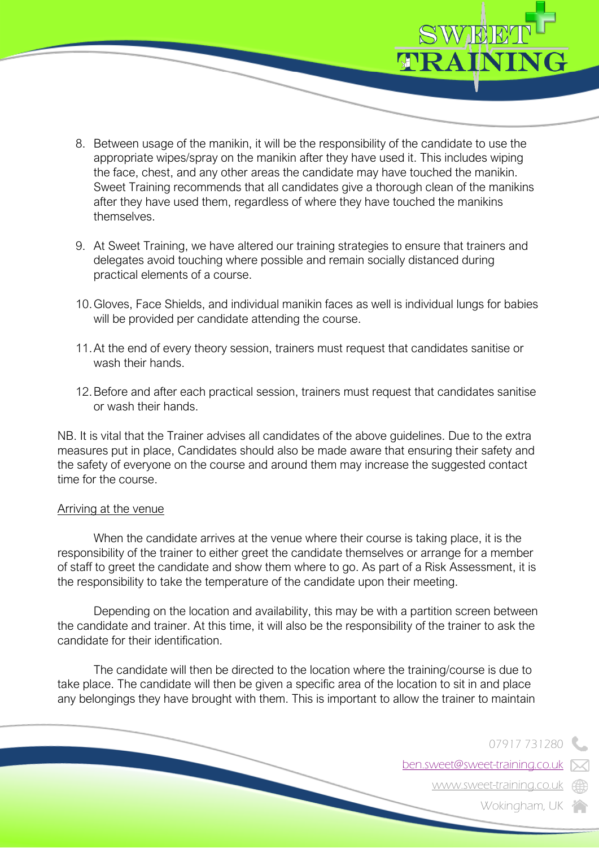- 8. Between usage of the manikin, it will be the responsibility of the candidate to use the appropriate wipes/spray on the manikin after they have used it. This includes wiping the face, chest, and any other areas the candidate may have touched the manikin. Sweet Training recommends that all candidates give a thorough clean of the manikins after they have used them, regardless of where they have touched the manikins themselves.
- 9. At Sweet Training, we have altered our training strategies to ensure that trainers and delegates avoid touching where possible and remain socially distanced during practical elements of a course.
- 10.Gloves, Face Shields, and individual manikin faces as well is individual lungs for babies will be provided per candidate attending the course.
- 11.At the end of every theory session, trainers must request that candidates sanitise or wash their hands
- 12.Before and after each practical session, trainers must request that candidates sanitise or wash their hands.

NB. It is vital that the Trainer advises all candidates of the above guidelines. Due to the extra measures put in place, Candidates should also be made aware that ensuring their safety and the safety of everyone on the course and around them may increase the suggested contact time for the course.

#### Arriving at the venue

When the candidate arrives at the venue where their course is taking place, it is the responsibility of the trainer to either greet the candidate themselves or arrange for a member of staff to greet the candidate and show them where to go. As part of a Risk Assessment, it is the responsibility to take the temperature of the candidate upon their meeting.

Depending on the location and availability, this may be with a partition screen between the candidate and trainer. At this time, it will also be the responsibility of the trainer to ask the candidate for their identification.

The candidate will then be directed to the location where the training/course is due to take place. The candidate will then be given a specific area of the location to sit in and place any belongings they have brought with them. This is important to allow the trainer to maintain

07917 731280

ben.sweet@sweet-training.co.uk

WEET

TRAININ

www.sweet-training.co.uk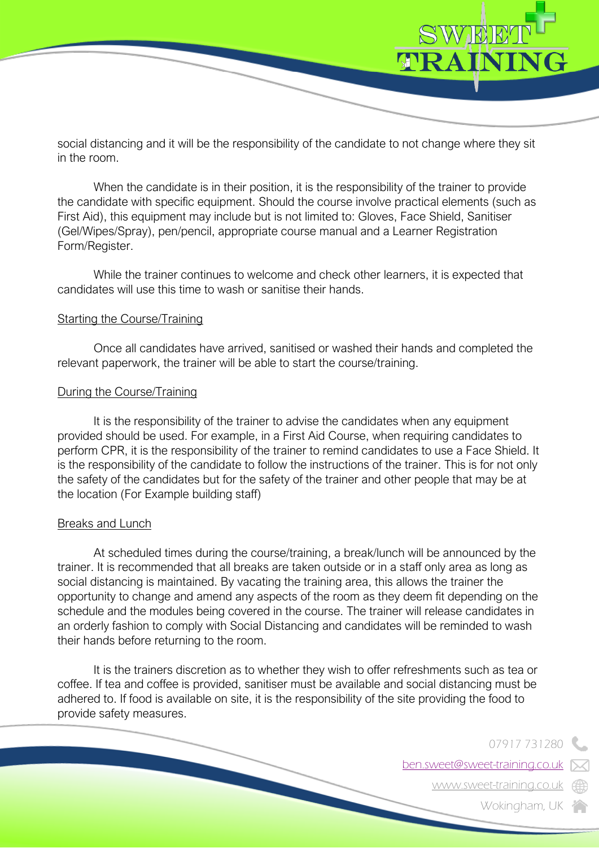

social distancing and it will be the responsibility of the candidate to not change where they sit in the room.

When the candidate is in their position, it is the responsibility of the trainer to provide the candidate with specific equipment. Should the course involve practical elements (such as First Aid), this equipment may include but is not limited to: Gloves, Face Shield, Sanitiser (Gel/Wipes/Spray), pen/pencil, appropriate course manual and a Learner Registration Form/Register.

While the trainer continues to welcome and check other learners, it is expected that candidates will use this time to wash or sanitise their hands.

#### Starting the Course/Training

Once all candidates have arrived, sanitised or washed their hands and completed the relevant paperwork, the trainer will be able to start the course/training.

### During the Course/Training

It is the responsibility of the trainer to advise the candidates when any equipment provided should be used. For example, in a First Aid Course, when requiring candidates to perform CPR, it is the responsibility of the trainer to remind candidates to use a Face Shield. It is the responsibility of the candidate to follow the instructions of the trainer. This is for not only the safety of the candidates but for the safety of the trainer and other people that may be at the location (For Example building staff)

### Breaks and Lunch

At scheduled times during the course/training, a break/lunch will be announced by the trainer. It is recommended that all breaks are taken outside or in a staff only area as long as social distancing is maintained. By vacating the training area, this allows the trainer the opportunity to change and amend any aspects of the room as they deem fit depending on the schedule and the modules being covered in the course. The trainer will release candidates in an orderly fashion to comply with Social Distancing and candidates will be reminded to wash their hands before returning to the room.

It is the trainers discretion as to whether they wish to offer refreshments such as tea or coffee. If tea and coffee is provided, sanitiser must be available and social distancing must be adhered to. If food is available on site, it is the responsibility of the site providing the food to provide safety measures.

07917 731280

ben.sweet@sweet-training.co.uk

www.sweet-training.co.uk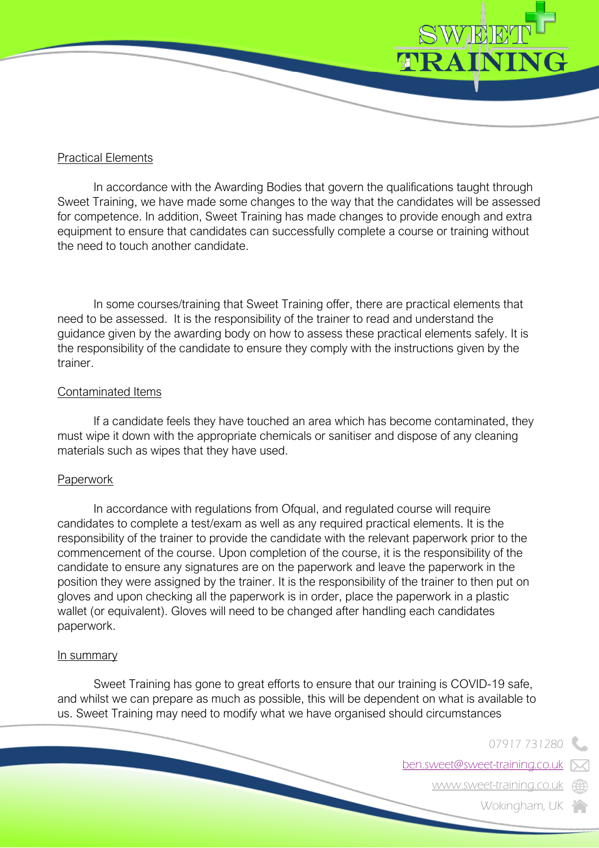

## Practical Elements

In accordance with the Awarding Bodies that govern the qualifications taught through Sweet Training, we have made some changes to the way that the candidates will be assessed for competence. In addition, Sweet Training has made changes to provide enough and extra equipment to ensure that candidates can successfully complete a course or training without the need to touch another candidate.

In some courses/training that Sweet Training offer, there are practical elements that need to be assessed. It is the responsibility of the trainer to read and understand the guidance given by the awarding body on how to assess these practical elements safely. It is the responsibility of the candidate to ensure they comply with the instructions given by the trainer.

### Contaminated Items

If a candidate feels they have touched an area which has become contaminated, they must wipe it down with the appropriate chemicals or sanitiser and dispose of any cleaning materials such as wipes that they have used.

### **Paperwork**

In accordance with regulations from Ofqual, and regulated course will require candidates to complete a test/exam as well as any required practical elements. It is the responsibility of the trainer to provide the candidate with the relevant paperwork prior to the commencement of the course. Upon completion of the course, it is the responsibility of the candidate to ensure any signatures are on the paperwork and leave the paperwork in the position they were assigned by the trainer. It is the responsibility of the trainer to then put on gloves and upon checking all the paperwork is in order, place the paperwork in a plastic wallet (or equivalent). Gloves will need to be changed after handling each candidates paperwork.

#### In summary

Sweet Training has gone to great efforts to ensure that our training is COVID-19 safe, and whilst we can prepare as much as possible, this will be dependent on what is available to us. Sweet Training may need to modify what we have organised should circumstances

07917 731280

ben.sweet@sweet-training.co.uk

www.sweet-training.co.uk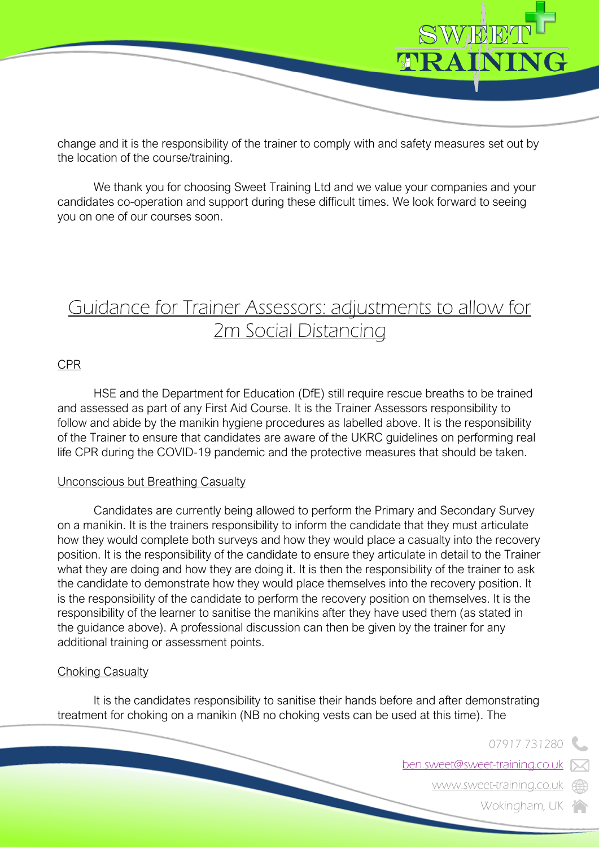

change and it is the responsibility of the trainer to comply with and safety measures set out by the location of the course/training.

We thank you for choosing Sweet Training Ltd and we value your companies and your candidates co-operation and support during these difficult times. We look forward to seeing you on one of our courses soon.

# Guidance for Trainer Assessors: adjustments to allow for 2m Social Distancing

### CPR

HSE and the Department for Education (DfE) still require rescue breaths to be trained and assessed as part of any First Aid Course. It is the Trainer Assessors responsibility to follow and abide by the manikin hygiene procedures as labelled above. It is the responsibility of the Trainer to ensure that candidates are aware of the UKRC guidelines on performing real life CPR during the COVID-19 pandemic and the protective measures that should be taken.

### Unconscious but Breathing Casualty

Candidates are currently being allowed to perform the Primary and Secondary Survey on a manikin. It is the trainers responsibility to inform the candidate that they must articulate how they would complete both surveys and how they would place a casualty into the recovery position. It is the responsibility of the candidate to ensure they articulate in detail to the Trainer what they are doing and how they are doing it. It is then the responsibility of the trainer to ask the candidate to demonstrate how they would place themselves into the recovery position. It is the responsibility of the candidate to perform the recovery position on themselves. It is the responsibility of the learner to sanitise the manikins after they have used them (as stated in the guidance above). A professional discussion can then be given by the trainer for any additional training or assessment points.

### **Choking Casualty**

It is the candidates responsibility to sanitise their hands before and after demonstrating treatment for choking on a manikin (NB no choking vests can be used at this time). The

07917 731280

ben.sweet@sweet-training.co.uk

www.sweet-training.co.uk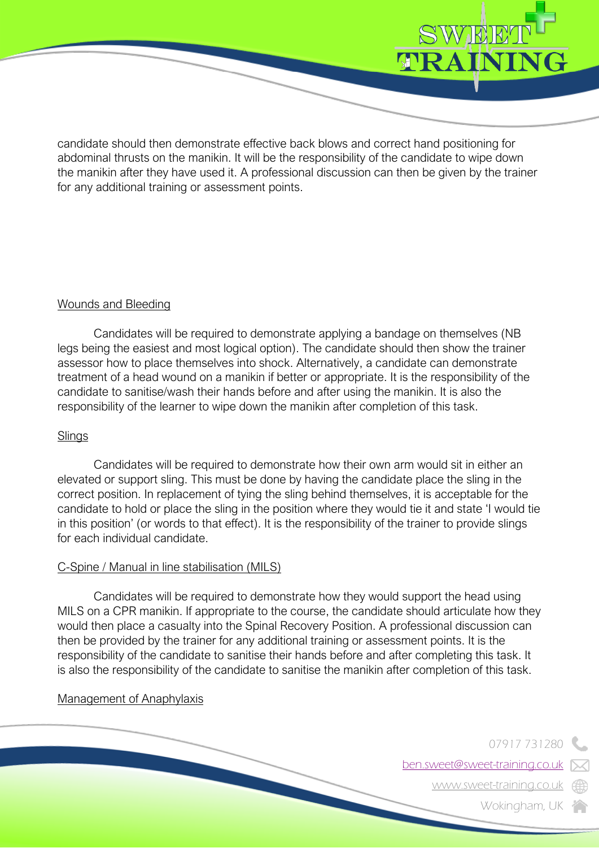

candidate should then demonstrate effective back blows and correct hand positioning for abdominal thrusts on the manikin. It will be the responsibility of the candidate to wipe down the manikin after they have used it. A professional discussion can then be given by the trainer for any additional training or assessment points.

## Wounds and Bleeding

Candidates will be required to demonstrate applying a bandage on themselves (NB legs being the easiest and most logical option). The candidate should then show the trainer assessor how to place themselves into shock. Alternatively, a candidate can demonstrate treatment of a head wound on a manikin if better or appropriate. It is the responsibility of the candidate to sanitise/wash their hands before and after using the manikin. It is also the responsibility of the learner to wipe down the manikin after completion of this task.

### **Slings**

Candidates will be required to demonstrate how their own arm would sit in either an elevated or support sling. This must be done by having the candidate place the sling in the correct position. In replacement of tying the sling behind themselves, it is acceptable for the candidate to hold or place the sling in the position where they would tie it and state 'I would tie in this position' (or words to that effect). It is the responsibility of the trainer to provide slings for each individual candidate.

### C-Spine / Manual in line stabilisation (MILS)

Candidates will be required to demonstrate how they would support the head using MILS on a CPR manikin. If appropriate to the course, the candidate should articulate how they would then place a casualty into the Spinal Recovery Position. A professional discussion can then be provided by the trainer for any additional training or assessment points. It is the responsibility of the candidate to sanitise their hands before and after completing this task. It is also the responsibility of the candidate to sanitise the manikin after completion of this task.

### Management of Anaphylaxis

07917 731280

ben.sweet@sweet-training.co.uk

www.sweet-training.co.uk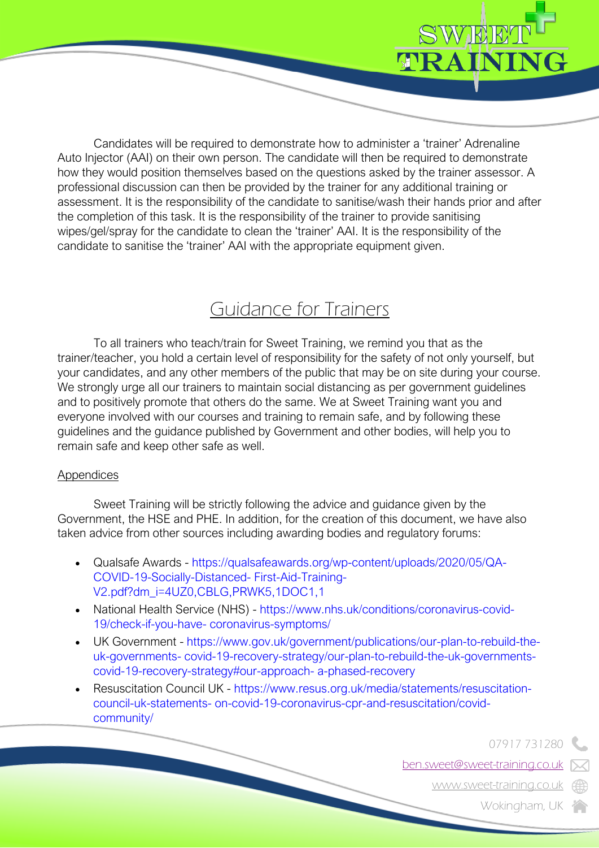

Candidates will be required to demonstrate how to administer a 'trainer' Adrenaline Auto Injector (AAI) on their own person. The candidate will then be required to demonstrate how they would position themselves based on the questions asked by the trainer assessor. A professional discussion can then be provided by the trainer for any additional training or assessment. It is the responsibility of the candidate to sanitise/wash their hands prior and after the completion of this task. It is the responsibility of the trainer to provide sanitising wipes/gel/spray for the candidate to clean the 'trainer' AAI. It is the responsibility of the candidate to sanitise the 'trainer' AAI with the appropriate equipment given.

# Guidance for Trainers

To all trainers who teach/train for Sweet Training, we remind you that as the trainer/teacher, you hold a certain level of responsibility for the safety of not only yourself, but your candidates, and any other members of the public that may be on site during your course. We strongly urge all our trainers to maintain social distancing as per government guidelines and to positively promote that others do the same. We at Sweet Training want you and everyone involved with our courses and training to remain safe, and by following these guidelines and the guidance published by Government and other bodies, will help you to remain safe and keep other safe as well.

# **Appendices**

Sweet Training will be strictly following the advice and guidance given by the Government, the HSE and PHE. In addition, for the creation of this document, we have also taken advice from other sources including awarding bodies and regulatory forums:

- Qualsafe Awards https://qualsafeawards.org/wp-content/uploads/2020/05/QA-COVID-19-Socially-Distanced- First-Aid-Training-V2.pdf?dm\_i=4UZ0,CBLG,PRWK5,1DOC1,1
- National Health Service (NHS) https://www.nhs.uk/conditions/coronavirus-covid-19/check-if-you-have- coronavirus-symptoms/
- UK Government https://www.gov.uk/government/publications/our-plan-to-rebuild-theuk-governments- covid-19-recovery-strategy/our-plan-to-rebuild-the-uk-governmentscovid-19-recovery-strategy#our-approach- a-phased-recovery
- Resuscitation Council UK https://www.resus.org.uk/media/statements/resuscitationcouncil-uk-statements- on-covid-19-coronavirus-cpr-and-resuscitation/covidcommunity/

07917 731280

ben.sweet@sweet-training.co.uk

www.sweet-training.co.uk